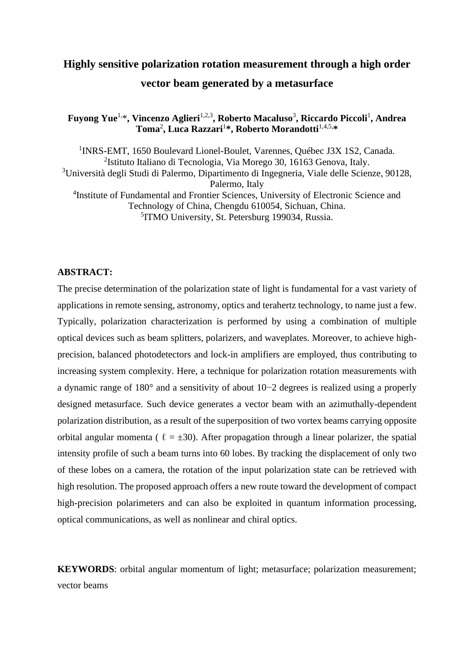# **Highly sensitive polarization rotation measurement through a high order vector beam generated by a metasurface**

**Fuyong Yue**1,\***, Vincenzo Aglieri**1,2,3 **, Roberto Macaluso**<sup>3</sup> **, Riccardo Piccoli**<sup>1</sup> **, Andrea Toma**<sup>2</sup> **, Luca Razzari**<sup>1</sup> **\*, Roberto Morandotti**1,4,5, **\***

<sup>1</sup>INRS-EMT, 1650 Boulevard Lionel-Boulet, Varennes, Québec J3X 1S2, Canada. 2 Istituto Italiano di Tecnologia, Via Morego 30, 16163 Genova, Italy. <sup>3</sup>Università degli Studi di Palermo, Dipartimento di Ingegneria, Viale delle Scienze, 90128, Palermo, Italy <sup>4</sup>Institute of Fundamental and Frontier Sciences, University of Electronic Science and Technology of China, Chengdu 610054, Sichuan, China. 5 ITMO University, St. Petersburg 199034, Russia.

#### **ABSTRACT:**

The precise determination of the polarization state of light is fundamental for a vast variety of applications in remote sensing, astronomy, optics and terahertz technology, to name just a few. Typically, polarization characterization is performed by using a combination of multiple optical devices such as beam splitters, polarizers, and waveplates. Moreover, to achieve highprecision, balanced photodetectors and lock-in amplifiers are employed, thus contributing to increasing system complexity. Here, a technique for polarization rotation measurements with a dynamic range of 180° and a sensitivity of about 10−2 degrees is realized using a properly designed metasurface. Such device generates a vector beam with an azimuthally-dependent polarization distribution, as a result of the superposition of two vortex beams carrying opposite orbital angular momenta (  $\ell = \pm 30$ ). After propagation through a linear polarizer, the spatial intensity profile of such a beam turns into 60 lobes. By tracking the displacement of only two of these lobes on a camera, the rotation of the input polarization state can be retrieved with high resolution. The proposed approach offers a new route toward the development of compact high-precision polarimeters and can also be exploited in quantum information processing, optical communications, as well as nonlinear and chiral optics.

**KEYWORDS**: orbital angular momentum of light; metasurface; polarization measurement; vector beams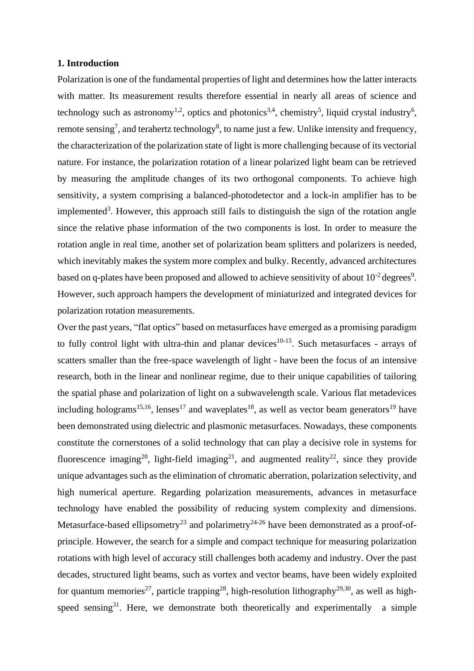### **1. Introduction**

Polarization is one of the fundamental properties of light and determines how the latter interacts with matter. Its measurement results therefore essential in nearly all areas of science and technology such as astronomy<sup>1,2</sup>, optics and photonics<sup>3,4</sup>, chemistry<sup>5</sup>, liquid crystal industry<sup>6</sup>, remote sensing<sup>7</sup>, and terahertz technology<sup>8</sup>, to name just a few. Unlike intensity and frequency, the characterization of the polarization state of light is more challenging because of its vectorial nature. For instance, the polarization rotation of a linear polarized light beam can be retrieved by measuring the amplitude changes of its two orthogonal components. To achieve high sensitivity, a system comprising a balanced-photodetector and a lock-in amplifier has to be implemented<sup>3</sup>. However, this approach still fails to distinguish the sign of the rotation angle since the relative phase information of the two components is lost. In order to measure the rotation angle in real time, another set of polarization beam splitters and polarizers is needed, which inevitably makes the system more complex and bulky. Recently, advanced architectures based on q-plates have been proposed and allowed to achieve sensitivity of about  $10^{-2}$  degrees<sup>9</sup>. However, such approach hampers the development of miniaturized and integrated devices for polarization rotation measurements.

Over the past years, "flat optics" based on metasurfaces have emerged as a promising paradigm to fully control light with ultra-thin and planar devices<sup>10-15</sup>. Such metasurfaces - arrays of scatters smaller than the free-space wavelength of light - have been the focus of an intensive research, both in the linear and nonlinear regime, due to their unique capabilities of tailoring the spatial phase and polarization of light on a subwavelength scale. Various flat metadevices including holograms<sup>15,16</sup>, lenses<sup>17</sup> and waveplates<sup>18</sup>, as well as vector beam generators<sup>19</sup> have been demonstrated using dielectric and plasmonic metasurfaces. Nowadays, these components constitute the cornerstones of a solid technology that can play a decisive role in systems for fluorescence imaging<sup>20</sup>, light-field imaging<sup>21</sup>, and augmented reality<sup>22</sup>, since they provide unique advantages such as the elimination of chromatic aberration, polarization selectivity, and high numerical aperture. Regarding polarization measurements, advances in metasurface technology have enabled the possibility of reducing system complexity and dimensions. Metasurface-based ellipsometry<sup>23</sup> and polarimetry<sup>24-26</sup> have been demonstrated as a proof-ofprinciple. However, the search for a simple and compact technique for measuring polarization rotations with high level of accuracy still challenges both academy and industry. Over the past decades, structured light beams, such as vortex and vector beams, have been widely exploited for quantum memories<sup>27</sup>, particle trapping<sup>28</sup>, high-resolution lithography<sup>29,30</sup>, as well as highspeed sensing<sup>31</sup>. Here, we demonstrate both theoretically and experimentally a simple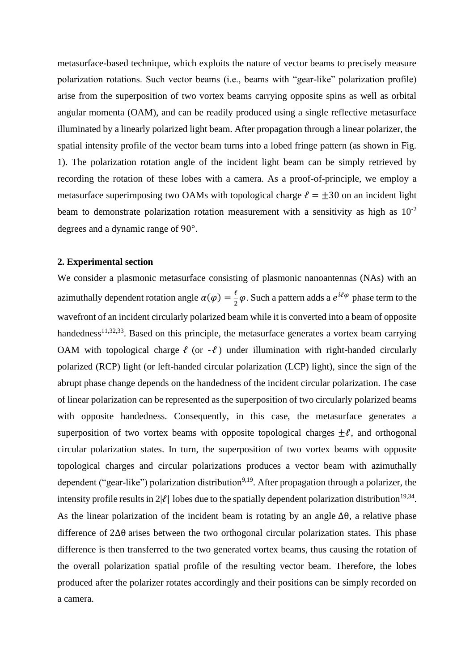metasurface-based technique, which exploits the nature of vector beams to precisely measure polarization rotations. Such vector beams (i.e., beams with "gear-like" polarization profile) arise from the superposition of two vortex beams carrying opposite spins as well as orbital angular momenta (OAM), and can be readily produced using a single reflective metasurface illuminated by a linearly polarized light beam. After propagation through a linear polarizer, the spatial intensity profile of the vector beam turns into a lobed fringe pattern (as shown in Fig. 1). The polarization rotation angle of the incident light beam can be simply retrieved by recording the rotation of these lobes with a camera. As a proof-of-principle, we employ a metasurface superimposing two OAMs with topological charge  $\ell = \pm 30$  on an incident light beam to demonstrate polarization rotation measurement with a sensitivity as high as  $10^{-2}$ degrees and a dynamic range of 90°.

#### **2. Experimental section**

We consider a plasmonic metasurface consisting of plasmonic nanoantennas (NAs) with an azimuthally dependent rotation angle  $\alpha(\varphi) = \frac{\ell}{2}$  $\frac{\tau}{2}\varphi$ . Such a pattern adds a  $e^{i\ell\varphi}$  phase term to the wavefront of an incident circularly polarized beam while it is converted into a beam of opposite handedness<sup>11,32,33</sup>. Based on this principle, the metasurface generates a vortex beam carrying OAM with topological charge  $\ell$  (or  $-\ell$ ) under illumination with right-handed circularly polarized (RCP) light (or left-handed circular polarization (LCP) light), since the sign of the abrupt phase change depends on the handedness of the incident circular polarization. The case of linear polarization can be represented as the superposition of two circularly polarized beams with opposite handedness. Consequently, in this case, the metasurface generates a superposition of two vortex beams with opposite topological charges  $\pm \ell$ , and orthogonal circular polarization states. In turn, the superposition of two vortex beams with opposite topological charges and circular polarizations produces a vector beam with azimuthally dependent ("gear-like") polarization distribution<sup>9,19</sup>. After propagation through a polarizer, the intensity profile results in  $2|\ell|$  lobes due to the spatially dependent polarization distribution<sup>19,34</sup>. As the linear polarization of the incident beam is rotating by an angle ∆θ, a relative phase difference of 2∆θ arises between the two orthogonal circular polarization states. This phase difference is then transferred to the two generated vortex beams, thus causing the rotation of the overall polarization spatial profile of the resulting vector beam. Therefore, the lobes produced after the polarizer rotates accordingly and their positions can be simply recorded on a camera.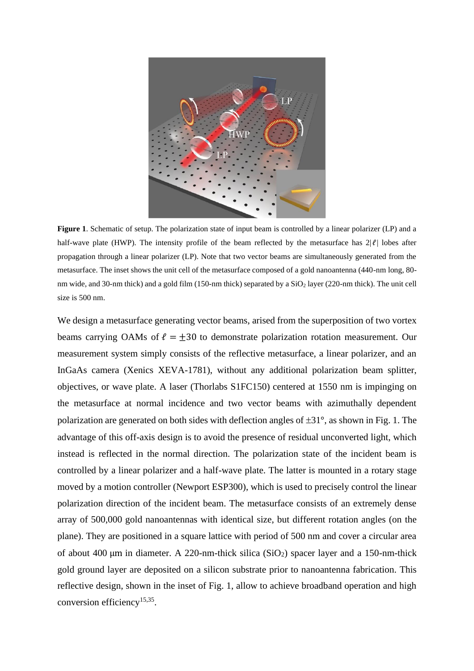

**Figure 1**. Schematic of setup. The polarization state of input beam is controlled by a linear polarizer (LP) and a half-wave plate (HWP). The intensity profile of the beam reflected by the metasurface has  $2|\ell|$  lobes after propagation through a linear polarizer (LP). Note that two vector beams are simultaneously generated from the metasurface. The inset shows the unit cell of the metasurface composed of a gold nanoantenna (440-nm long, 80 nm wide, and 30-nm thick) and a gold film (150-nm thick) separated by a SiO<sub>2</sub> layer (220-nm thick). The unit cell size is 500 nm.

We design a metasurface generating vector beams, arised from the superposition of two vortex beams carrying OAMs of  $\ell = \pm 30$  to demonstrate polarization rotation measurement. Our measurement system simply consists of the reflective metasurface, a linear polarizer, and an InGaAs camera (Xenics XEVA-1781), without any additional polarization beam splitter, objectives, or wave plate. A laser (Thorlabs S1FC150) centered at 1550 nm is impinging on the metasurface at normal incidence and two vector beams with azimuthally dependent polarization are generated on both sides with deflection angles of  $\pm 31^{\circ}$ , as shown in Fig. 1. The advantage of this off-axis design is to avoid the presence of residual unconverted light, which instead is reflected in the normal direction. The polarization state of the incident beam is controlled by a linear polarizer and a half-wave plate. The latter is mounted in a rotary stage moved by a motion controller (Newport ESP300), which is used to precisely control the linear polarization direction of the incident beam. The metasurface consists of an extremely dense array of 500,000 gold nanoantennas with identical size, but different rotation angles (on the plane). They are positioned in a square lattice with period of 500 nm and cover a circular area of about 400 μm in diameter. A 220-nm-thick silica (SiO<sub>2</sub>) spacer layer and a 150-nm-thick gold ground layer are deposited on a silicon substrate prior to nanoantenna fabrication. This reflective design, shown in the inset of Fig. 1, allow to achieve broadband operation and high conversion efficiency<sup>15,35</sup>.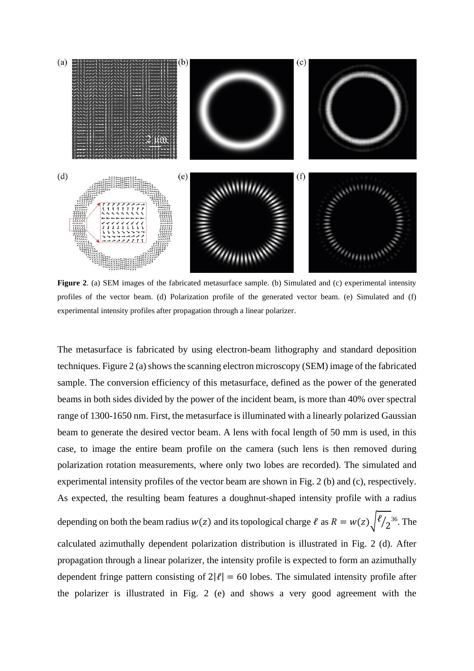

**Figure 2**. (a) SEM images of the fabricated metasurface sample. (b) Simulated and (c) experimental intensity profiles of the vector beam. (d) Polarization profile of the generated vector beam. (e) Simulated and (f) experimental intensity profiles after propagation through a linear polarizer.

The metasurface is fabricated by using electron-beam lithography and standard deposition techniques. Figure 2 (a) shows the scanning electron microscopy (SEM) image of the fabricated sample. The conversion efficiency of this metasurface, defined as the power of the generated beams in both sides divided by the power of the incident beam, is more than 40% over spectral range of 1300-1650 nm. First, the metasurface is illuminated with a linearly polarized Gaussian beam to generate the desired vector beam. A lens with focal length of 50 mm is used, in this case, to image the entire beam profile on the camera (such lens is then removed during polarization rotation measurements, where only two lobes are recorded). The simulated and experimental intensity profiles of the vector beam are shown in Fig. 2 (b) and (c), respectively. As expected, the resulting beam features a doughnut-shaped intensity profile with a radius depending on both the beam radius  $w(z)$  and its topological charge  $\ell$  as  $R = w(z) \sqrt{\frac{\ell}{2}^{36}}$ . The calculated azimuthally dependent polarization distribution is illustrated in Fig. 2 (d). After propagation through a linear polarizer, the intensity profile is expected to form an azimuthally dependent fringe pattern consisting of  $2|\ell| = 60$  lobes. The simulated intensity profile after the polarizer is illustrated in Fig. 2 (e) and shows a very good agreement with the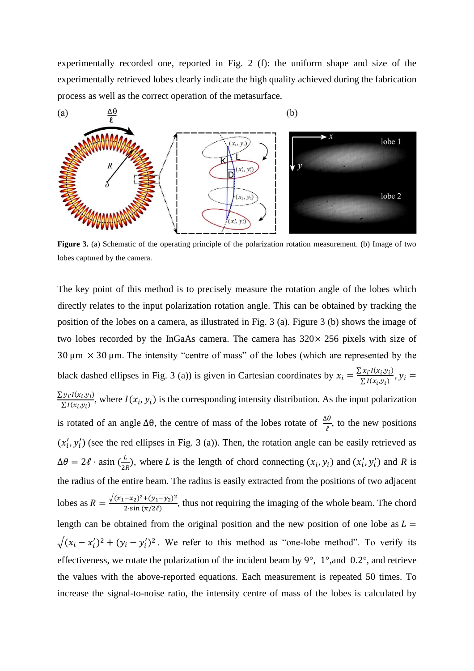experimentally recorded one, reported in Fig. 2 (f): the uniform shape and size of the experimentally retrieved lobes clearly indicate the high quality achieved during the fabrication process as well as the correct operation of the metasurface.



**Figure 3.** (a) Schematic of the operating principle of the polarization rotation measurement. (b) Image of two lobes captured by the camera.

The key point of this method is to precisely measure the rotation angle of the lobes which directly relates to the input polarization rotation angle. This can be obtained by tracking the position of the lobes on a camera, as illustrated in Fig. 3 (a). Figure 3 (b) shows the image of two lobes recorded by the InGaAs camera. The camera has  $320 \times 256$  pixels with size of 30  $\mu$ m  $\times$  30  $\mu$ m. The intensity "centre of mass" of the lobes (which are represented by the black dashed ellipses in Fig. 3 (a)) is given in Cartesian coordinates by  $x_i = \frac{\sum x_i I(x_i, y_i)}{\sum I(x_i, y_i)}$  $\frac{\sum I(x_i,y_i)}{\sum I(x_i,y_i)}$ ,  $y_i =$  $\sum y_i I(x_i, y_i)$  $\sum_{i} Y_i^T(x_i, y_i)$ , where  $I(x_i, y_i)$  is the corresponding intensity distribution. As the input polarization is rotated of an angle  $\Delta\theta$ , the centre of mass of the lobes rotate of  $\frac{\Delta\theta}{\ell}$ , to the new positions  $(x'_i, y'_i)$  (see the red ellipses in Fig. 3 (a)). Then, the rotation angle can be easily retrieved as  $\Delta\theta = 2\ell \cdot \text{asin} \left( \frac{L}{2\ell} \right)$  $\frac{L}{2R}$ ), where *L* is the length of chord connecting  $(x_i, y_i)$  and  $(x'_i, y'_i)$  and *R* is the radius of the entire beam. The radius is easily extracted from the positions of two adjacent lobes as  $R = \frac{\sqrt{(x_1 - x_2)^2 + (y_1 - y_2)^2}}{2 \sin{(\pi/2\theta)}}$  $\frac{-x_2y + (y_1 - y_2)}{2 \sin{(\pi/2\ell)}}$ , thus not requiring the imaging of the whole beam. The chord length can be obtained from the original position and the new position of one lobe as  $L =$  $\sqrt{(x_i - x'_i)^2 + (y_i - y'_i)^2}$ . We refer to this method as "one-lobe method". To verify its effectiveness, we rotate the polarization of the incident beam by 9°, 1°,and 0.2°, and retrieve the values with the above-reported equations. Each measurement is repeated 50 times. To increase the signal-to-noise ratio, the intensity centre of mass of the lobes is calculated by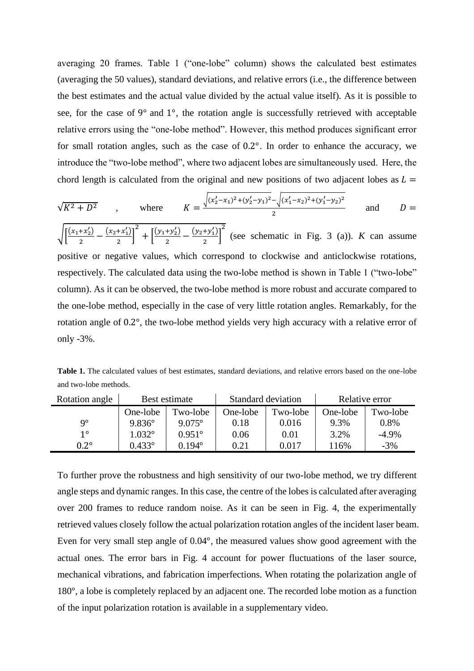averaging 20 frames. Table 1 ("one-lobe" column) shows the calculated best estimates (averaging the 50 values), standard deviations, and relative errors (i.e., the difference between the best estimates and the actual value divided by the actual value itself). As it is possible to see, for the case of 9° and 1°, the rotation angle is successfully retrieved with acceptable relative errors using the "one-lobe method". However, this method produces significant error for small rotation angles, such as the case of 0.2°. In order to enhance the accuracy, we introduce the "two-lobe method", where two adjacent lobes are simultaneously used. Here, the chord length is calculated from the original and new positions of two adjacent lobes as  $L =$ 

$$
\sqrt{K^2 + D^2}
$$
, where  $K = \frac{\sqrt{(x_2' - x_1)^2 + (y_2' - y_1)^2} - \sqrt{(x_1' - x_2)^2 + (y_1' - y_2)^2}}{2}$  and  $D = \sqrt{\frac{(x_1 + x_1') - (x_1' + x_1')^2}{(x_1' + x_1')^2} - \frac{(x_1' + x_1')^2}{(x_1' + x_1')^2}}$ 

 $\sqrt{\frac{(x_1+x_2)}{2}}$  $\frac{+x_2'}{2} - \frac{(x_2 + x_1')}{2}$  $\left[\frac{1}{2}\right]$  $+\left[\frac{(y_1+y_2')}{2}\right]$  $\frac{+y_2'}{2} - \frac{(y_2+y_1')}{2}$  $\left[\frac{y_1}{2}\right]$ (see schematic in Fig. 3 (a)). *K* can assume positive or negative values, which correspond to clockwise and anticlockwise rotations, respectively. The calculated data using the two-lobe method is shown in Table 1 ("two-lobe" column). As it can be observed, the two-lobe method is more robust and accurate compared to the one-lobe method, especially in the case of very little rotation angles. Remarkably, for the rotation angle of 0.2°, the two-lobe method yields very high accuracy with a relative error of only -3%.

**Table 1.** The calculated values of best estimates, standard deviations, and relative errors based on the one-lobe and two-lobe methods.

| Rotation angle | Best estimate   |                 | Standard deviation |          | Relative error |          |
|----------------|-----------------|-----------------|--------------------|----------|----------------|----------|
|                | One-lobe        | Two-lobe        | One-lobe           | Two-lobe | One-lobe       | Two-lobe |
| 9°             | $9.836^{\circ}$ | $9.075^{\circ}$ | 0.18               | 0.016    | 9.3%           | 0.8%     |
| $1^{\circ}$    | $1.032^{\circ}$ | $0.951^{\circ}$ | 0.06               | 0.01     | 3.2%           | $-4.9\%$ |
| $0.2^\circ$    | $0.433^{\circ}$ | 0.194°          | 0.21               | 0.017    | $16\%$         | $-3\%$   |

To further prove the robustness and high sensitivity of our two-lobe method, we try different angle steps and dynamic ranges. In this case, the centre of the lobes is calculated after averaging over 200 frames to reduce random noise. As it can be seen in Fig. 4, the experimentally retrieved values closely follow the actual polarization rotation angles of the incident laser beam. Even for very small step angle of 0.04°, the measured values show good agreement with the actual ones. The error bars in Fig. 4 account for power fluctuations of the laser source, mechanical vibrations, and fabrication imperfections. When rotating the polarization angle of 180°, a lobe is completely replaced by an adjacent one. The recorded lobe motion as a function of the input polarization rotation is available in a supplementary video.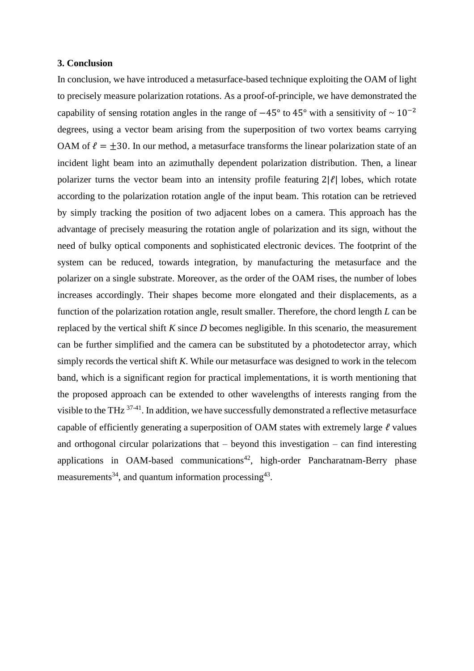#### **3. Conclusion**

In conclusion, we have introduced a metasurface-based technique exploiting the OAM of light to precisely measure polarization rotations. As a proof-of-principle, we have demonstrated the capability of sensing rotation angles in the range of  $-45^{\circ}$  to 45° with a sensitivity of ~ 10<sup>-2</sup> degrees, using a vector beam arising from the superposition of two vortex beams carrying OAM of  $\ell = \pm 30$ . In our method, a metasurface transforms the linear polarization state of an incident light beam into an azimuthally dependent polarization distribution. Then, a linear polarizer turns the vector beam into an intensity profile featuring  $2|\ell|$  lobes, which rotate according to the polarization rotation angle of the input beam. This rotation can be retrieved by simply tracking the position of two adjacent lobes on a camera. This approach has the advantage of precisely measuring the rotation angle of polarization and its sign, without the need of bulky optical components and sophisticated electronic devices. The footprint of the system can be reduced, towards integration, by manufacturing the metasurface and the polarizer on a single substrate. Moreover, as the order of the OAM rises, the number of lobes increases accordingly. Their shapes become more elongated and their displacements, as a function of the polarization rotation angle, result smaller. Therefore, the chord length *L* can be replaced by the vertical shift *K* since *D* becomes negligible. In this scenario, the measurement can be further simplified and the camera can be substituted by a photodetector array, which simply records the vertical shift *K*. While our metasurface was designed to work in the telecom band, which is a significant region for practical implementations, it is worth mentioning that the proposed approach can be extended to other wavelengths of interests ranging from the visible to the THz <sup>37-41</sup>. In addition, we have successfully demonstrated a reflective metasurface capable of efficiently generating a superposition of OAM states with extremely large  $\ell$  values and orthogonal circular polarizations that  $-$  beyond this investigation  $-$  can find interesting applications in OAM-based communications<sup>42</sup>, high-order Pancharatnam-Berry phase measurements<sup>34</sup>, and quantum information processing<sup>43</sup>.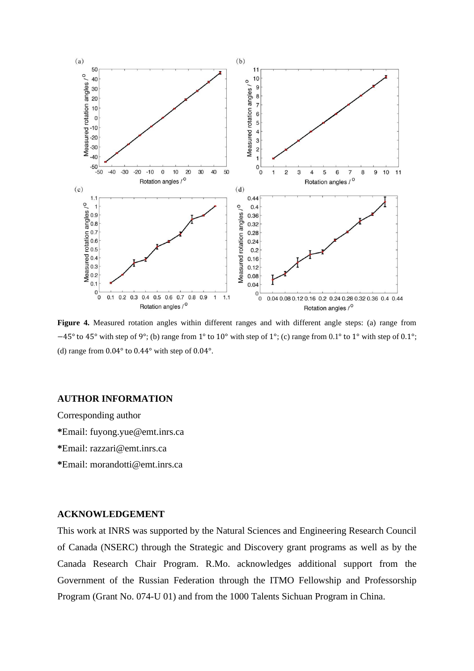

**Figure 4.** Measured rotation angles within different ranges and with different angle steps: (a) range from −45° to 45° with step of 9°; (b) range from 1° to 10° with step of 1°; (c) range from 0.1° to 1° with step of 0.1°; (d) range from 0.04° to 0.44° with step of 0.04°.

### **AUTHOR INFORMATION**

Corresponding author **\***Email: fuyong.yue@emt.inrs.ca **\***Email: razzari@emt.inrs.ca **\***Email: morandotti@emt.inrs.ca

## **ACKNOWLEDGEMENT**

This work at INRS was supported by the Natural Sciences and Engineering Research Council of Canada (NSERC) through the Strategic and Discovery grant programs as well as by the Canada Research Chair Program. R.Mo. acknowledges additional support from the Government of the Russian Federation through the ITMO Fellowship and Professorship Program (Grant No. 074-U 01) and from the 1000 Talents Sichuan Program in China.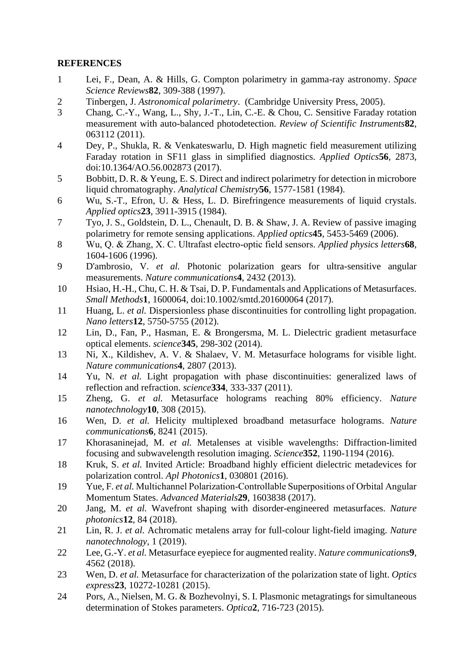# **REFERENCES**

- 1 Lei, F., Dean, A. & Hills, G. Compton polarimetry in gamma-ray astronomy. *Space Science Reviews***82**, 309-388 (1997).
- 2 Tinbergen, J. *Astronomical polarimetry*. (Cambridge University Press, 2005).
- 3 Chang, C.-Y., Wang, L., Shy, J.-T., Lin, C.-E. & Chou, C. Sensitive Faraday rotation measurement with auto-balanced photodetection. *Review of Scientific Instruments***82**, 063112 (2011).
- 4 Dey, P., Shukla, R. & Venkateswarlu, D. High magnetic field measurement utilizing Faraday rotation in SF11 glass in simplified diagnostics. *Applied Optics***56**, 2873, doi:10.1364/AO.56.002873 (2017).
- 5 Bobbitt, D. R. & Yeung, E. S. Direct and indirect polarimetry for detection in microbore liquid chromatography. *Analytical Chemistry***56**, 1577-1581 (1984).
- 6 Wu, S.-T., Efron, U. & Hess, L. D. Birefringence measurements of liquid crystals. *Applied optics***23**, 3911-3915 (1984).
- 7 Tyo, J. S., Goldstein, D. L., Chenault, D. B. & Shaw, J. A. Review of passive imaging polarimetry for remote sensing applications. *Applied optics***45**, 5453-5469 (2006).
- 8 Wu, Q. & Zhang, X. C. Ultrafast electro‐optic field sensors. *Applied physics letters***68**, 1604-1606 (1996).
- 9 D'ambrosio, V. *et al.* Photonic polarization gears for ultra-sensitive angular measurements. *Nature communications***4**, 2432 (2013).
- 10 Hsiao, H.-H., Chu, C. H. & Tsai, D. P. Fundamentals and Applications of Metasurfaces. *Small Methods***1**, 1600064, doi:10.1002/smtd.201600064 (2017).
- 11 Huang, L. *et al.* Dispersionless phase discontinuities for controlling light propagation. *Nano letters***12**, 5750-5755 (2012).
- 12 Lin, D., Fan, P., Hasman, E. & Brongersma, M. L. Dielectric gradient metasurface optical elements. *science***345**, 298-302 (2014).
- 13 Ni, X., Kildishev, A. V. & Shalaev, V. M. Metasurface holograms for visible light. *Nature communications***4**, 2807 (2013).
- 14 Yu, N. *et al.* Light propagation with phase discontinuities: generalized laws of reflection and refraction. *science***334**, 333-337 (2011).
- 15 Zheng, G. *et al.* Metasurface holograms reaching 80% efficiency. *Nature nanotechnology***10**, 308 (2015).
- 16 Wen, D. *et al.* Helicity multiplexed broadband metasurface holograms. *Nature communications***6**, 8241 (2015).
- 17 Khorasaninejad, M. *et al.* Metalenses at visible wavelengths: Diffraction-limited focusing and subwavelength resolution imaging. *Science***352**, 1190-1194 (2016).
- 18 Kruk, S. *et al.* Invited Article: Broadband highly efficient dielectric metadevices for polarization control. *Apl Photonics***1**, 030801 (2016).
- 19 Yue, F. *et al.* Multichannel Polarization‐Controllable Superpositions of Orbital Angular Momentum States. *Advanced Materials***29**, 1603838 (2017).
- 20 Jang, M. *et al.* Wavefront shaping with disorder-engineered metasurfaces. *Nature photonics***12**, 84 (2018).
- 21 Lin, R. J. *et al.* Achromatic metalens array for full-colour light-field imaging. *Nature nanotechnology*, 1 (2019).
- 22 Lee, G.-Y. *et al.* Metasurface eyepiece for augmented reality. *Nature communications***9**, 4562 (2018).
- 23 Wen, D. *et al.* Metasurface for characterization of the polarization state of light. *Optics express***23**, 10272-10281 (2015).
- 24 Pors, A., Nielsen, M. G. & Bozhevolnyi, S. I. Plasmonic metagratings for simultaneous determination of Stokes parameters. *Optica***2**, 716-723 (2015).